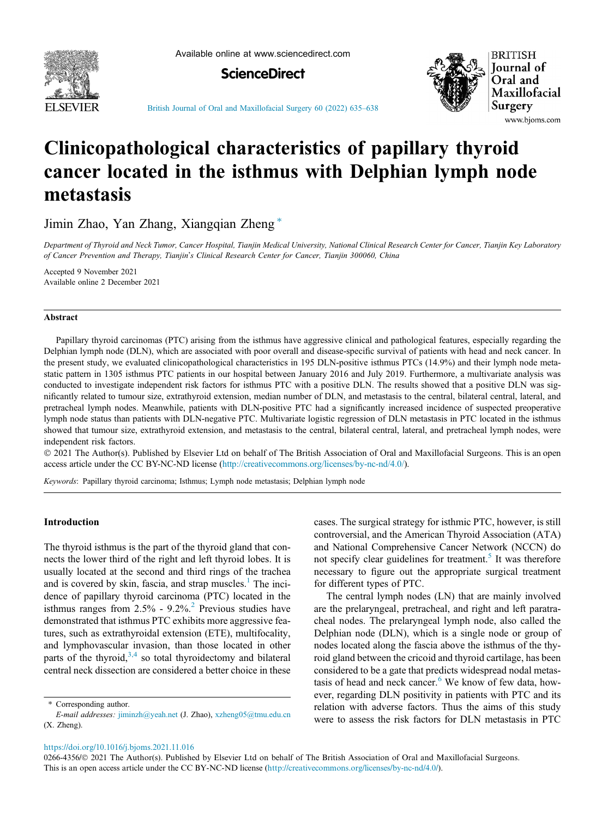

Available online at www.sciencedirect.com





[British Journal of Oral and Maxillofacial Surgery 60 \(2022\) 635](https://doi.org/10.1016/j.bjoms.2021.11.016)–638

# Clinicopathological characteristics of papillary thyroid cancer located in the isthmus with Delphian lymph node metastasis

Jimin Zhao, Yan Zhang, Xiangqian Zheng  $*$ 

Department of Thyroid and Neck Tumor, Cancer Hospital, Tianjin Medical University, National Clinical Research Center for Cancer, Tianjin Key Laboratory of Cancer Prevention and Therapy, Tianjin's Clinical Research Center for Cancer, Tianjin 300060, China

Accepted 9 November 2021 Available online 2 December 2021

## Abstract

Papillary thyroid carcinomas (PTC) arising from the isthmus have aggressive clinical and pathological features, especially regarding the Delphian lymph node (DLN), which are associated with poor overall and disease-specific survival of patients with head and neck cancer. In the present study, we evaluated clinicopathological characteristics in 195 DLN-positive isthmus PTCs (14.9%) and their lymph node metastatic pattern in 1305 isthmus PTC patients in our hospital between January 2016 and July 2019. Furthermore, a multivariate analysis was conducted to investigate independent risk factors for isthmus PTC with a positive DLN. The results showed that a positive DLN was significantly related to tumour size, extrathyroid extension, median number of DLN, and metastasis to the central, bilateral central, lateral, and pretracheal lymph nodes. Meanwhile, patients with DLN-positive PTC had a significantly increased incidence of suspected preoperative lymph node status than patients with DLN-negative PTC. Multivariate logistic regression of DLN metastasis in PTC located in the isthmus showed that tumour size, extrathyroid extension, and metastasis to the central, bilateral central, lateral, and pretracheal lymph nodes, were independent risk factors.

 2021 The Author(s). Published by Elsevier Ltd on behalf of The British Association of Oral and Maxillofacial Surgeons. This is an open access article under the CC BY-NC-ND license (<http://creativecommons.org/licenses/by-nc-nd/4.0/>).

Keywords: Papillary thyroid carcinoma; Isthmus; Lymph node metastasis; Delphian lymph node

## Introduction

The thyroid isthmus is the part of the thyroid gland that connects the lower third of the right and left thyroid lobes. It is usually located at the second and third rings of the trachea and is covered by skin, fascia, and strap muscles. $<sup>1</sup>$  $<sup>1</sup>$  $<sup>1</sup>$  The inci-</sup> dence of papillary thyroid carcinoma (PTC) located in the isthmus ranges from  $2.5\%$  $2.5\%$  -  $9.2\%$ <sup>2</sup> Previous studies have demonstrated that isthmus PTC exhibits more aggressive features, such as extrathyroidal extension (ETE), multifocality, and lymphovascular invasion, than those located in other parts of the thyroid,  $3,4$  so total thyroidectomy and bilateral central neck dissection are considered a better choice in these

cases. The surgical strategy for isthmic PTC, however, is still controversial, and the American Thyroid Association (ATA) and National Comprehensive Cancer Network (NCCN) do not specify clear guidelines for treatment. $5$  It was therefore necessary to figure out the appropriate surgical treatment for different types of PTC.

The central lymph nodes (LN) that are mainly involved are the prelaryngeal, pretracheal, and right and left paratracheal nodes. The prelaryngeal lymph node, also called the Delphian node (DLN), which is a single node or group of nodes located along the fascia above the isthmus of the thyroid gland between the cricoid and thyroid cartilage, has been considered to be a gate that predicts widespread nodal metastasis of head and neck cancer. $6$  We know of few data, however, regarding DLN positivity in patients with PTC and its relation with adverse factors. Thus the aims of this study were to assess the risk factors for DLN metastasis in PTC

<sup>\*</sup> Corresponding author.

E-mail addresses: [jiminzh@yeah.net](mailto:jiminzh@yeah.net) (J. Zhao), [xzheng05@tmu.edu.cn](mailto:xzheng05@tmu.edu.cn) (X. Zheng).

<https://doi.org/10.1016/j.bjoms.2021.11.016>

<sup>0266-4356/© 2021</sup> The Author(s). Published by Elsevier Ltd on behalf of The British Association of Oral and Maxillofacial Surgeons. This is an open access article under the CC BY-NC-ND license (<http://creativecommons.org/licenses/by-nc-nd/4.0/>).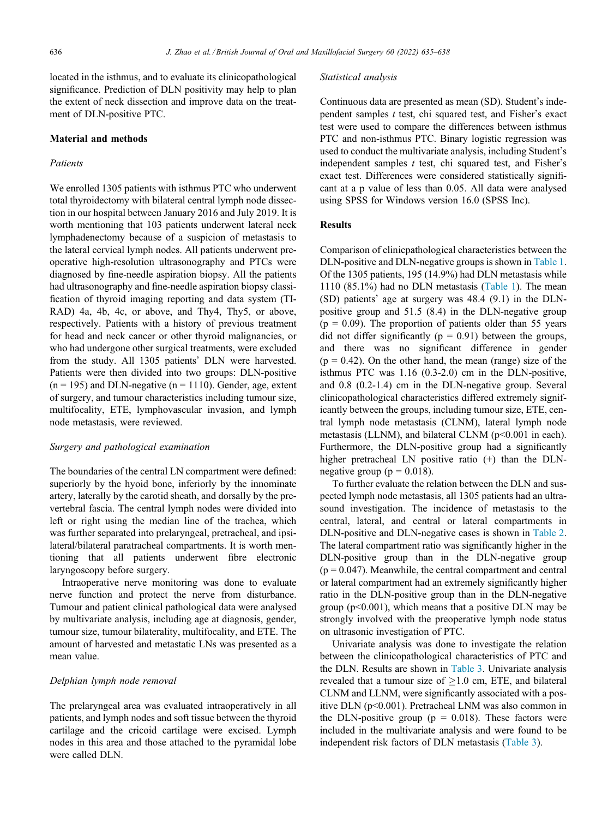located in the isthmus, and to evaluate its clinicopathological significance. Prediction of DLN positivity may help to plan the extent of neck dissection and improve data on the treatment of DLN-positive PTC.

## Material and methods

## Patients

We enrolled 1305 patients with isthmus PTC who underwent total thyroidectomy with bilateral central lymph node dissection in our hospital between January 2016 and July 2019. It is worth mentioning that 103 patients underwent lateral neck lymphadenectomy because of a suspicion of metastasis to the lateral cervical lymph nodes. All patients underwent preoperative high-resolution ultrasonography and PTCs were diagnosed by fine-needle aspiration biopsy. All the patients had ultrasonography and fine-needle aspiration biopsy classification of thyroid imaging reporting and data system (TI-RAD) 4a, 4b, 4c, or above, and Thy4, Thy5, or above, respectively. Patients with a history of previous treatment for head and neck cancer or other thyroid malignancies, or who had undergone other surgical treatments, were excluded from the study. All 1305 patients' DLN were harvested. Patients were then divided into two groups: DLN-positive  $(n = 195)$  and DLN-negative  $(n = 1110)$ . Gender, age, extent of surgery, and tumour characteristics including tumour size, multifocality, ETE, lymphovascular invasion, and lymph node metastasis, were reviewed.

## Surgery and pathological examination

The boundaries of the central LN compartment were defined: superiorly by the hyoid bone, inferiorly by the innominate artery, laterally by the carotid sheath, and dorsally by the prevertebral fascia. The central lymph nodes were divided into left or right using the median line of the trachea, which was further separated into prelaryngeal, pretracheal, and ipsilateral/bilateral paratracheal compartments. It is worth mentioning that all patients underwent fibre electronic laryngoscopy before surgery.

Intraoperative nerve monitoring was done to evaluate nerve function and protect the nerve from disturbance. Tumour and patient clinical pathological data were analysed by multivariate analysis, including age at diagnosis, gender, tumour size, tumour bilaterality, multifocality, and ETE. The amount of harvested and metastatic LNs was presented as a mean value.

### Delphian lymph node removal

The prelaryngeal area was evaluated intraoperatively in all patients, and lymph nodes and soft tissue between the thyroid cartilage and the cricoid cartilage were excised. Lymph nodes in this area and those attached to the pyramidal lobe were called DLN.

#### Statistical analysis

Continuous data are presented as mean (SD). Student's independent samples  $t$  test, chi squared test, and Fisher's exact test were used to compare the differences between isthmus PTC and non-isthmus PTC. Binary logistic regression was used to conduct the multivariate analysis, including Student's independent samples  $t$  test, chi squared test, and Fisher's exact test. Differences were considered statistically significant at a p value of less than 0.05. All data were analysed using SPSS for Windows version 16.0 (SPSS Inc).

# Results

Comparison of clinicpathological characteristics between the DLN-positive and DLN-negative groups is shown in [Table 1](#page-2-0). Of the 1305 patients, 195 (14.9%) had DLN metastasis while 1110 (85.1%) had no DLN metastasis [\(Table 1\)](#page-2-0). The mean (SD) patients' age at surgery was 48.4 (9.1) in the DLNpositive group and 51.5 (8.4) in the DLN-negative group  $(p = 0.09)$ . The proportion of patients older than 55 years did not differ significantly ( $p = 0.91$ ) between the groups, and there was no significant difference in gender  $(p = 0.42)$ . On the other hand, the mean (range) size of the isthmus PTC was 1.16 (0.3-2.0) cm in the DLN-positive, and 0.8 (0.2-1.4) cm in the DLN-negative group. Several clinicopathological characteristics differed extremely significantly between the groups, including tumour size, ETE, central lymph node metastasis (CLNM), lateral lymph node metastasis (LLNM), and bilateral CLNM (p<0.001 in each). Furthermore, the DLN-positive group had a significantly higher pretracheal LN positive ratio  $(+)$  than the DLNnegative group ( $p = 0.018$ ).

To further evaluate the relation between the DLN and suspected lymph node metastasis, all 1305 patients had an ultrasound investigation. The incidence of metastasis to the central, lateral, and central or lateral compartments in DLN-positive and DLN-negative cases is shown in [Table 2](#page-2-0). The lateral compartment ratio was significantly higher in the DLN-positive group than in the DLN-negative group  $(p = 0.047)$ . Meanwhile, the central compartment and central or lateral compartment had an extremely significantly higher ratio in the DLN-positive group than in the DLN-negative group  $(p<0.001)$ , which means that a positive DLN may be strongly involved with the preoperative lymph node status on ultrasonic investigation of PTC.

Univariate analysis was done to investigate the relation between the clinicopathological characteristics of PTC and the DLN. Results are shown in [Table 3](#page-2-0). Univariate analysis revealed that a tumour size of  $>1.0$  cm, ETE, and bilateral CLNM and LLNM, were significantly associated with a positive DLN (p<0.001). Pretracheal LNM was also common in the DLN-positive group ( $p = 0.018$ ). These factors were included in the multivariate analysis and were found to be independent risk factors of DLN metastasis ([Table 3\)](#page-2-0).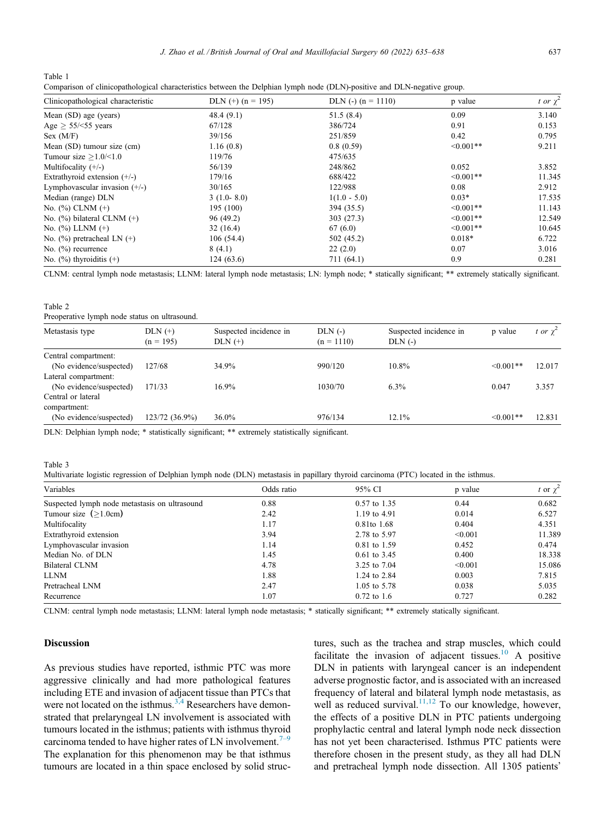<span id="page-2-0"></span>Table 1 Comparison of clinicopathological characteristics between the Delphian lymph node (DLN)-positive and DLN-negative group.

| Clinicopathological characteristic | DLN $(+)$ (n = 195) | DLN $(-)$ $(n = 1110)$ | p value        | t or $\chi^2$ |
|------------------------------------|---------------------|------------------------|----------------|---------------|
| Mean (SD) age (years)              | 48.4(9.1)           | 51.5(8.4)              | 0.09           | 3.140         |
| Age $> 55$ /<55 years              | 67/128              | 386/724                | 0.91           | 0.153         |
| Sex (M/F)                          | 39/156              | 251/859                | 0.42           | 0.795         |
| Mean (SD) tumour size (cm)         | 1.16(0.8)           | 0.8(0.59)              | $\leq 0.001**$ | 9.211         |
| Tumour size $>1.0$ /<1.0           | 119/76              | 475/635                |                |               |
| Multifocality $(+/-)$              | 56/139              | 248/862                | 0.052          | 3.852         |
| Extrathyroid extension $(+/-)$     | 179/16              | 688/422                | $\leq 0.001**$ | 11.345        |
| Lymphovascular invasion $(+/-)$    | 30/165              | 122/988                | 0.08           | 2.912         |
| Median (range) DLN                 | $3(1.0-8.0)$        | $1(1.0 - 5.0)$         | $0.03*$        | 17.535        |
| No. $(\%)$ CLNM $(+)$              | 195 (100)           | 394 (35.5)             | $\leq 0.001**$ | 11.143        |
| No. $(\%)$ bilateral CLNM $(+)$    | 96 (49.2)           | 303(27.3)              | $\leq 0.001**$ | 12.549        |
| No. $(\%)$ LLNM $(+)$              | 32(16.4)            | 67(6.0)                | $< 0.001**$    | 10.645        |
| No. $(\%)$ pretracheal LN $(+)$    | 106(54.4)           | 502 (45.2)             | $0.018*$       | 6.722         |
| No. $(\%)$ recurrence              | 8(4.1)              | 22(2.0)                | 0.07           | 3.016         |
| No. $(\%)$ thyroiditis $(+)$       | 124(63.6)           | 711 (64.1)             | 0.9            | 0.281         |

CLNM: central lymph node metastasis; LLNM: lateral lymph node metastasis; LN: lymph node; \* statically significant; \*\* extremely statically significant.

Table 2

Preoperative lymph node status on ultrasound.

| Metastasis type         | $DLN (+)$<br>$(n = 195)$ | Suspected incidence in<br>$DLN (+)$ | $DLN$ (-)<br>$(n = 1110)$ | Suspected incidence in<br>$DLN$ (-) | p value        | <i>i</i> or $\chi^2$ |
|-------------------------|--------------------------|-------------------------------------|---------------------------|-------------------------------------|----------------|----------------------|
| Central compartment:    |                          |                                     |                           |                                     |                |                      |
| (No evidence/suspected) | 127/68                   | 34.9%                               | 990/120                   | 10.8%                               | $\leq 0.001**$ | 12.017               |
| Lateral compartment:    |                          |                                     |                           |                                     |                |                      |
| (No evidence/suspected) | 171/33                   | 16.9%                               | 1030/70                   | $6.3\%$                             | 0.047          | 3.357                |
| Central or lateral      |                          |                                     |                           |                                     |                |                      |
| compartment:            |                          |                                     |                           |                                     |                |                      |
| (No evidence/suspected) | $123/72(36.9\%)$         | 36.0%                               | 976/134                   | 12.1%                               | $\leq 0.001**$ | 12.831               |

DLN: Delphian lymph node; \* statistically significant; \*\* extremely statistically significant.

Table 3

Multivariate logistic regression of Delphian lymph node (DLN) metastasis in papillary thyroid carcinoma (PTC) located in the isthmus.

| Variables                                     | Odds ratio | 95% CI                 | p value | t or $\chi^2$ |
|-----------------------------------------------|------------|------------------------|---------|---------------|
| Suspected lymph node metastasis on ultrasound | 0.88       | 0.57 to 1.35           | 0.44    | 0.682         |
| Tumour size $(>1.0cm)$                        | 2.42       | 1.19 to 4.91           | 0.014   | 6.527         |
| Multifocality                                 | 1.17       | 0.81to 1.68            | 0.404   | 4.351         |
| Extrathyroid extension                        | 3.94       | 2.78 to 5.97           | < 0.001 | 11.389        |
| Lymphovascular invasion                       | 1.14       | 0.81 to 1.59           | 0.452   | 0.474         |
| Median No. of DLN                             | 1.45       | $0.61$ to 3.45         | 0.400   | 18.338        |
| Bilateral CLNM                                | 4.78       | 3.25 to 7.04           | < 0.001 | 15.086        |
| LLNM                                          | 1.88       | 1.24 to 2.84           | 0.003   | 7.815         |
| Pretracheal LNM                               | 2.47       | 1.05 to 5.78           | 0.038   | 5.035         |
| Recurrence                                    | 1.07       | $0.72 \text{ to } 1.6$ | 0.727   | 0.282         |

CLNM: central lymph node metastasis; LLNM: lateral lymph node metastasis; \* statically significant; \*\* extremely statically significant.

## Discussion

As previous studies have reported, isthmic PTC was more aggressive clinically and had more pathological features including ETE and invasion of adjacent tissue than PTCs that were not located on the isthmus.<sup>[3,4](#page-3-0)</sup> Researchers have demonstrated that prelaryngeal LN involvement is associated with tumours located in the isthmus; patients with isthmus thyroid carcinoma tended to have higher rates of LN involvement.<sup> $7-9$ </sup> The explanation for this phenomenon may be that isthmus tumours are located in a thin space enclosed by solid structures, such as the trachea and strap muscles, which could facilitate the invasion of adjacent tissues.<sup>[10](#page-3-0)</sup> A positive DLN in patients with laryngeal cancer is an independent adverse prognostic factor, and is associated with an increased frequency of lateral and bilateral lymph node metastasis, as well as reduced survival. $\frac{11,12}{11,12}$  To our knowledge, however, the effects of a positive DLN in PTC patients undergoing prophylactic central and lateral lymph node neck dissection has not yet been characterised. Isthmus PTC patients were therefore chosen in the present study, as they all had DLN and pretracheal lymph node dissection. All 1305 patients'